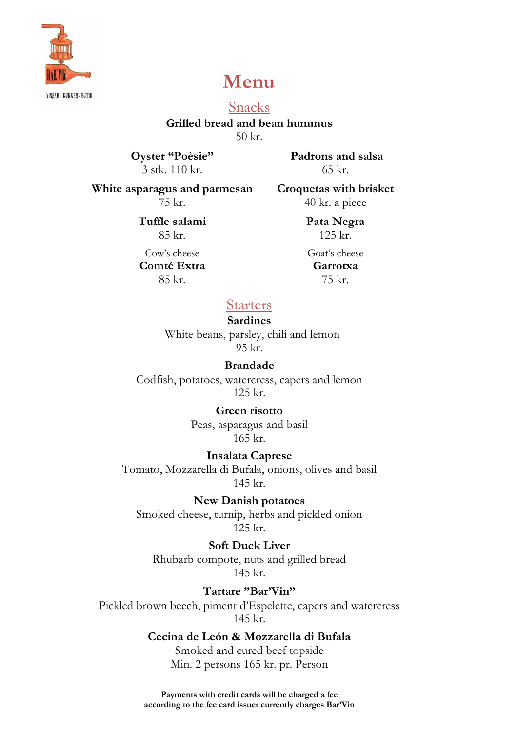

# **Menu**

YINBAR - KØKKEN - BUTIK

Snacks **Grilled bread and bean hummus** 50 kr.

**Oyster "Poèsie"** 3 stk. 110 kr.

**Padrons and salsa** 65 kr.

**White asparagus and parmesan** 75 kr.

**Croquetas with brisket** 40 kr. a piece

**Tuffle salami**  85 kr.

Cow's cheese **Comté Extra** 85 kr.

125 kr. Goat's cheese

**Pata Negra**

**Garrotxa** 75 kr.

**Starters** 

#### **Sardines**

 White beans, parsley, chili and lemon 95 kr.

#### **Brandade**

Codfish, potatoes, watercress, capers and lemon 125 kr.

> **Green risotto** Peas, asparagus and basil 165 kr.

**Insalata Caprese** Tomato, Mozzarella di Bufala, onions, olives and basil 145 kr.

**New Danish potatoes** Smoked cheese, turnip, herbs and pickled onion 125 kr.

**Soft Duck Liver**  Rhubarb compote, nuts and grilled bread 145 kr.

**Tartare "Bar'Vin"** Pickled brown beech, piment d'Espelette, capers and watercress 145 kr.

> **Cecina de León & Mozzarella di Bufala** Smoked and cured beef topside Min. 2 persons 165 kr. pr. Person

**Payments with credit cards will be charged a fee according to the fee card issuer currently charges Bar'Vin**